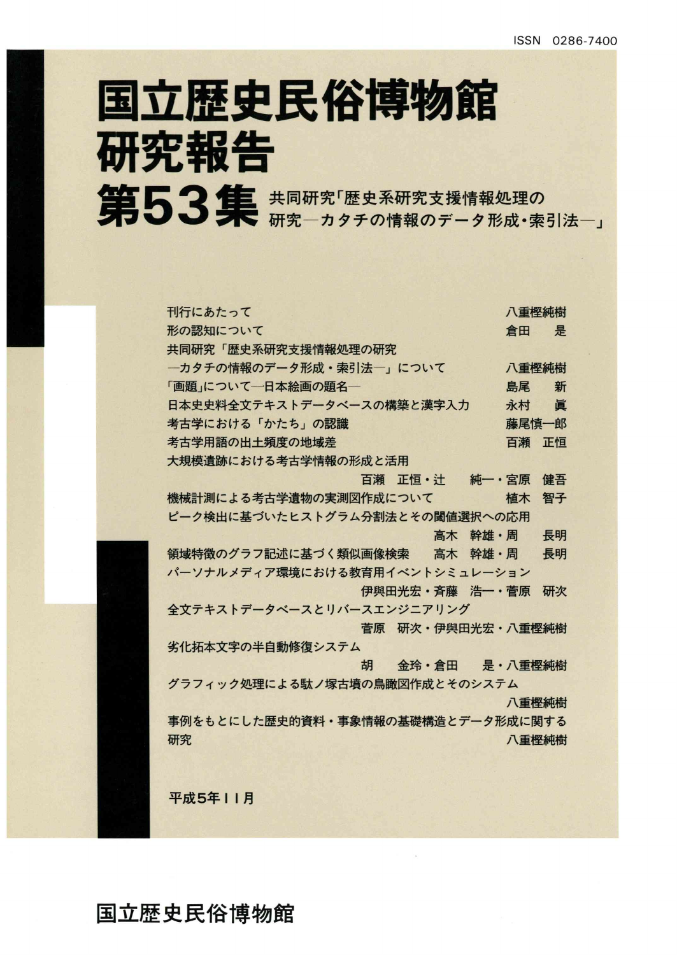# 国立歴史民俗博物館 研究報告 第53集 共同研究「歴史系研究支援情報処理の

| 刊行にあたって                           | 八重樫純樹 |
|-----------------------------------|-------|
| 形の認知について<br>倉田                    | 是     |
| 共同研究「歴史系研究支援情報処理の研究               |       |
| 一カタチの情報のデータ形成・索引法一」について           | 八重樫純樹 |
| 「画題」について一日本絵画の題名一<br>島尾           | 新     |
| 日本史史料全文テキストデータベースの構築と漢字入力<br>永村   | 眞     |
| 考古学における「かたち」の認識                   | 藤尾慎一郎 |
| 考古学用語の出土頻度の地域差<br>百瀬              | 正恒    |
| 大規模遺跡における考古学情報の形成と活用              |       |
| 百瀬 正恒・汁<br>純一・宮原                  | 健吾    |
| 機械計測による考古学遺物の実測図作成について<br>植木      | 智子    |
| ピーク検出に基づいたヒストグラム分割法とその閾値選択への応用    |       |
| 高木 幹雄・周                           | 長明    |
| 領域特徴のグラフ記述に基づく類似画像検索<br>高木 幹雄・周   | 長明    |
| パーソナルメディア環境における教育用イベントシミュレーション    |       |
| 伊與田光宏·斉藤 浩一·菅原                    | 研次    |
| 全文テキストデータベースとリバースエンジニアリング         |       |
| 菅原 研次·伊與田光宏·八重樫純樹                 |       |
| 劣化拓本文字の半自動修復システム                  |       |
| 胡<br>金玲・倉田 是・八重樫純樹                |       |
| グラフィック処理による駄ノ塚古墳の鳥瞰図作成とそのシステム     |       |
|                                   | 八重樫純樹 |
| 事例をもとにした歴史的資料・事象情報の基礎構造とデータ形成に関する |       |
| 研究                                | 八重樫純樹 |
|                                   |       |
|                                   |       |
| 平成5年11月                           |       |

国立歴史民俗博物館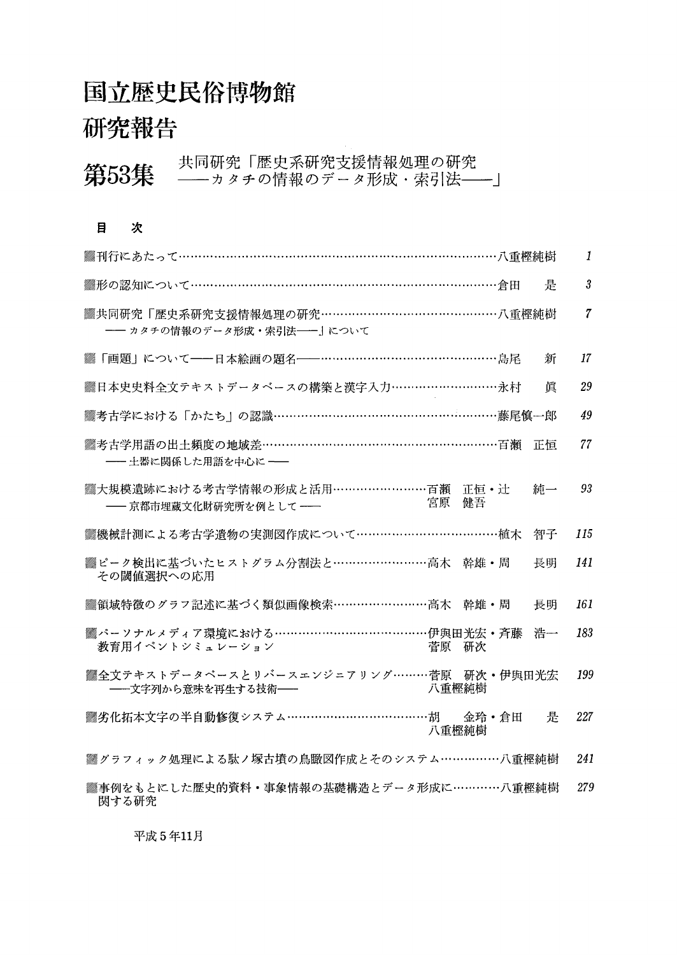## 国立歴史民俗博物館

### 研究報告

#### 第53集 共同研究「歴史系研究支援情報処理の研究<br>第53集 ——カタチの情報のデータ形成・索引法——」 目 次 **▒刊行にあたって…………………………………………………………………八重樫純樹**  $\boldsymbol{\mathit{1}}$ 3<br>7<br>17<br>29<br>49<br>7<br>93 ▒形の認知について…………………………………………………………………倉田 是 3 ▒共同研究「歴史系研究支援情報処理の研究……………………………………八重樫純樹  $\overline{7}$  一カタチの情報のデータ形成・索引法一」について 〉「画題」について一日本絵画の題名一………………・…・…………・………島尾 新 17 "日本史史料全文テキストデータベースの構築と漢字入力……………・…・……・永村 眞 29 **▒考古学における「かたち」の認識……………………………………………藤尾慎一郎** 49 ▒考古学用語の出土頻度の地域差……………………………………………………百瀬 正恒 77 一土器に関係した用語を中心に一 ▓大規模遺跡における考古学情報の形成と活用………………………百瀬 正恒・辻 純一<br>── 言誓吉門書立化財研究事は例として────────────────宮原 健吾 93 -- 京都市埋蔵文化財研究所を例として --S機械計測による考古学遺物の実測図作成について………………・・…………・…植木 智子 115 ◎▒ピーク検出に基づいたヒストグラム分割法と……………………高木 幹雄・周 長明 141 その閾値選択への応用 **▒領域特徴のグラフ記述に基づく類似画像検索……………………高木 幹雄・周 長明** 161 ▒パーソナルメディア環境における………………………………………伊與田光宏・斉藤 浩一<br>──教育用イベントシミュレーション 菅原 研次 183 教育用イベントシミュレーション ※全文テキストデータベースとリバースエンジニアリング………菅原 研次・伊與田光宏<br>──文字列から意味を再生する技術── 199 - 文字列から意味を再生する技術-"劣化拓本文字の半自動修復システム………………・・………・……胡 金玲・倉田 是 227 八重樫純樹 ▒グラフィック処理による駄ノ塚古墳の鳥瞰図作成とそのシステム……………八重樫純樹 241 十事例をもとにした歴史的資料・事象情報の基礎構造とデータ形成に…………八重樫純樹 279 関する研究

平成5年11月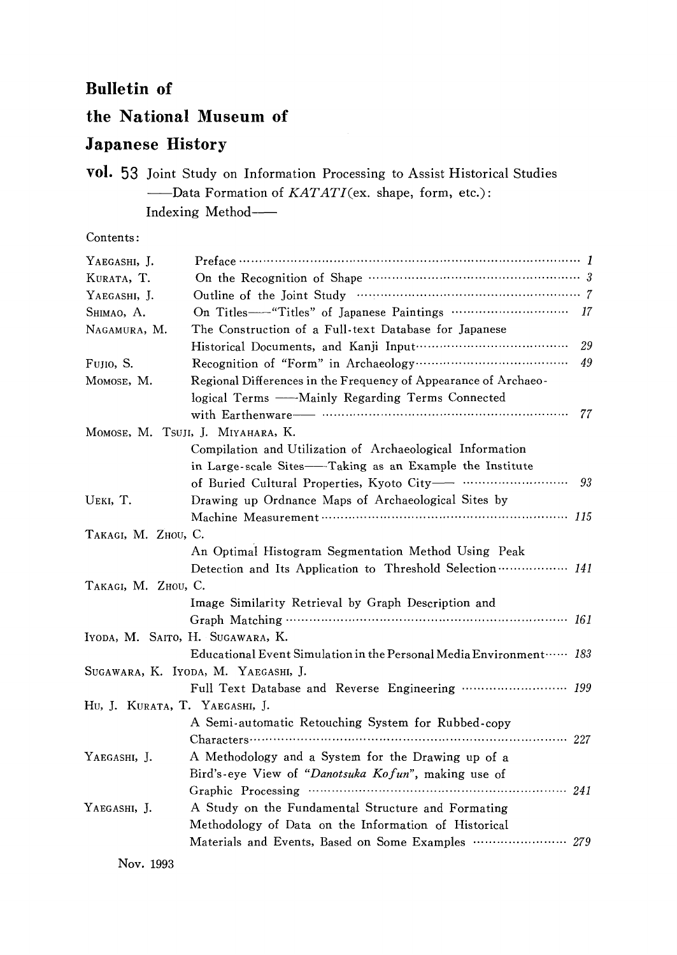#### Bulletin of

### the National Museum of

#### Japanese History

vol. 53 Joint Study on Information Processing to Assist Historical Studies -Data Formation of KATATI(ex. shape, form, etc.): Indexing Method

Contents:

| YAEGASHI, J.                   |                                                                     |    |  |  |  |
|--------------------------------|---------------------------------------------------------------------|----|--|--|--|
| KURATA, T.                     |                                                                     |    |  |  |  |
| YAEGASHI, J.                   | Outline of the Joint Study manufactured and 7                       |    |  |  |  |
| SHIMAO, A.                     | On Titles---- "Titles" of Japanese Paintings  17                    |    |  |  |  |
| NAGAMURA, M.                   | The Construction of a Full-text Database for Japanese               |    |  |  |  |
|                                |                                                                     | 29 |  |  |  |
| FUJIO, S.                      |                                                                     |    |  |  |  |
| MOMOSE, M.                     | Regional Differences in the Frequency of Appearance of Archaeo-     |    |  |  |  |
|                                | logical Terms - Mainly Regarding Terms Connected                    |    |  |  |  |
|                                |                                                                     | 77 |  |  |  |
|                                | MOMOSE, M. TSUJI, J. MIYAHARA, K.                                   |    |  |  |  |
|                                | Compilation and Utilization of Archaeological Information           |    |  |  |  |
|                                | in Large-scale Sites-Taking as an Example the Institute             |    |  |  |  |
|                                |                                                                     | 93 |  |  |  |
| UEKI, T.                       | Drawing up Ordnance Maps of Archaeological Sites by                 |    |  |  |  |
|                                |                                                                     |    |  |  |  |
| TAKAGI, M. ZHOU, C.            |                                                                     |    |  |  |  |
|                                | An Optimal Histogram Segmentation Method Using Peak                 |    |  |  |  |
|                                | Detection and Its Application to Threshold Selection  141           |    |  |  |  |
| TAKAGI, M. ZHOU, C.            |                                                                     |    |  |  |  |
|                                | Image Similarity Retrieval by Graph Description and                 |    |  |  |  |
|                                |                                                                     |    |  |  |  |
|                                | IYODA, M. SAITO, H. SUGAWARA, K.                                    |    |  |  |  |
|                                | Educational Event Simulation in the Personal Media Environment  183 |    |  |  |  |
|                                | SUGAWARA, K. IYODA, M. YAEGASHI, J.                                 |    |  |  |  |
|                                | Full Text Database and Reverse Engineering  199                     |    |  |  |  |
| HU, J. KURATA, T. YAEGASHI, J. |                                                                     |    |  |  |  |
|                                | A Semi-automatic Retouching System for Rubbed-copy                  |    |  |  |  |
|                                |                                                                     |    |  |  |  |
| YAEGASHI, J.                   | A Methodology and a System for the Drawing up of a                  |    |  |  |  |
|                                | Bird's-eye View of "Danotsuka Kofun", making use of                 |    |  |  |  |
|                                |                                                                     |    |  |  |  |
| YAEGASHI, J.                   | A Study on the Fundamental Structure and Formating                  |    |  |  |  |
|                                | Methodology of Data on the Information of Historical                |    |  |  |  |
|                                | Materials and Events, Based on Some Examples ………………… 279            |    |  |  |  |
| Nov. 1993                      |                                                                     |    |  |  |  |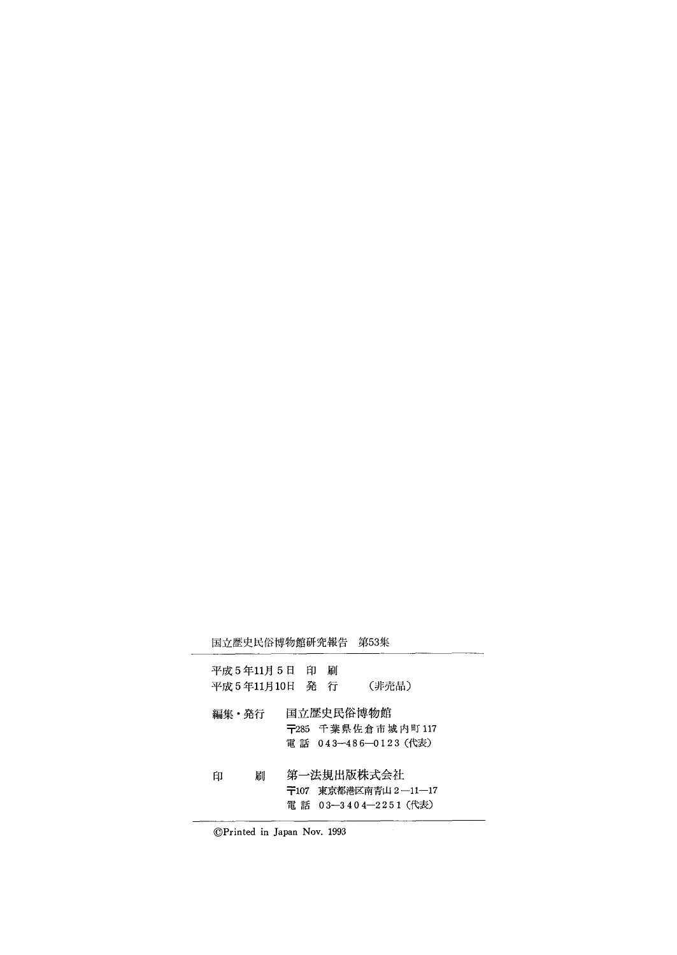|       | 国立歴史民俗博物館研究報告   |  |   | 第53集                                                       |
|-------|-----------------|--|---|------------------------------------------------------------|
|       | 平成 5 年11月 5 日 印 |  | 刷 |                                                            |
|       | 平成5年11月10日 発 行  |  |   | (非売品)                                                      |
| 編集・発行 |                 |  |   | 国立歴史民俗博物館<br>〒285 千葉県佐倉市城内町117<br>電 話 043-486-0123 (代表)    |
| 印     | 刷               |  |   | 第一法規出版株式会社<br>〒107 東京都港区南青山2―11―17<br>電 話 03-3404-2251(代表) |

©Printed in Japan Nov. 1993